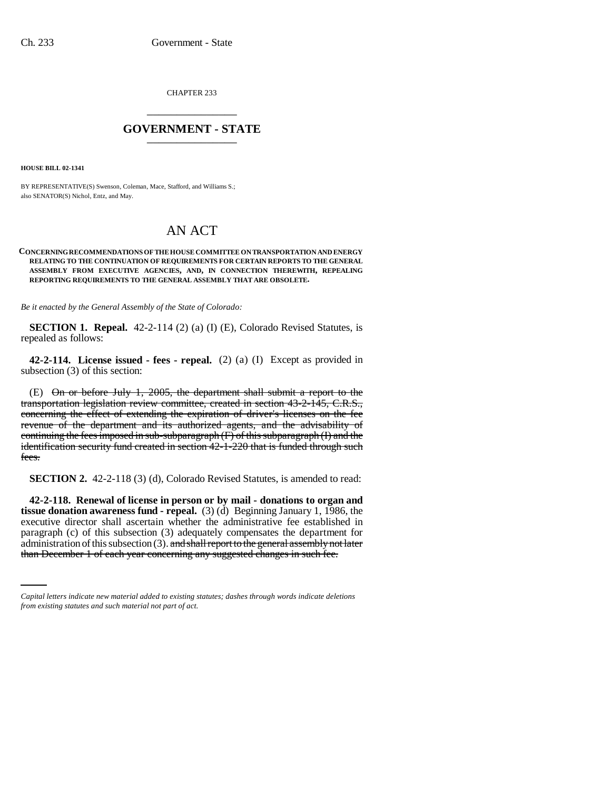CHAPTER 233 \_\_\_\_\_\_\_\_\_\_\_\_\_\_\_

## **GOVERNMENT - STATE** \_\_\_\_\_\_\_\_\_\_\_\_\_\_\_

**HOUSE BILL 02-1341**

BY REPRESENTATIVE(S) Swenson, Coleman, Mace, Stafford, and Williams S.; also SENATOR(S) Nichol, Entz, and May.

## AN ACT

## **CONCERNING RECOMMENDATIONS OF THE HOUSE COMMITTEE ON TRANSPORTATION AND ENERGY RELATING TO THE CONTINUATION OF REQUIREMENTS FOR CERTAIN REPORTS TO THE GENERAL ASSEMBLY FROM EXECUTIVE AGENCIES, AND, IN CONNECTION THEREWITH, REPEALING REPORTING REQUIREMENTS TO THE GENERAL ASSEMBLY THAT ARE OBSOLETE.**

*Be it enacted by the General Assembly of the State of Colorado:*

**SECTION 1. Repeal.** 42-2-114 (2) (a) (I) (E), Colorado Revised Statutes, is repealed as follows:

**42-2-114. License issued - fees - repeal.** (2) (a) (I) Except as provided in subsection (3) of this section:

(E) On or before July 1, 2005, the department shall submit a report to the transportation legislation review committee, created in section 43-2-145, C.R.S., concerning the effect of extending the expiration of driver's licenses on the fee revenue of the department and its authorized agents, and the advisability of continuing the fees imposed in sub-subparagraph (F) of this subparagraph (I) and the identification security fund created in section 42-1-220 that is funded through such fees.

**SECTION 2.** 42-2-118 (3) (d), Colorado Revised Statutes, is amended to read:

paragraph (c) of this subsection (3) adequately compensates the department for **42-2-118. Renewal of license in person or by mail - donations to organ and tissue donation awareness fund - repeal.** (3) (d) Beginning January 1, 1986, the executive director shall ascertain whether the administrative fee established in administration of this subsection (3). and shall report to the general assembly not later than December 1 of each year concerning any suggested changes in such fee.

*Capital letters indicate new material added to existing statutes; dashes through words indicate deletions from existing statutes and such material not part of act.*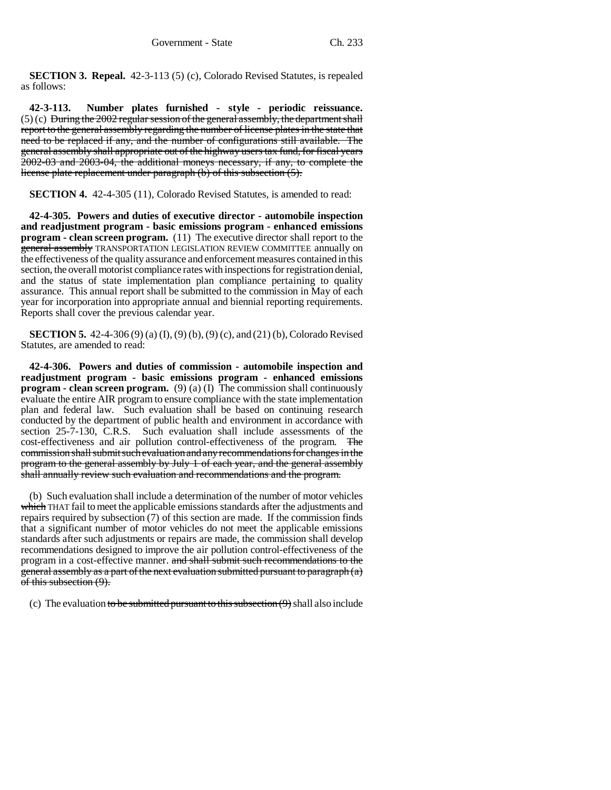**SECTION 3. Repeal.** 42-3-113 (5) (c), Colorado Revised Statutes, is repealed as follows:

**42-3-113. Number plates furnished - style - periodic reissuance.**  $(5)$  (c) During the 2002 regular session of the general assembly, the department shall report to the general assembly regarding the number of license plates in the state that need to be replaced if any, and the number of configurations still available. The general assembly shall appropriate out of the highway users tax fund, for fiscal years 2002-03 and 2003-04, the additional moneys necessary, if any, to complete the license plate replacement under paragraph (b) of this subsection (5).

**SECTION 4.** 42-4-305 (11), Colorado Revised Statutes, is amended to read:

**42-4-305. Powers and duties of executive director - automobile inspection and readjustment program - basic emissions program - enhanced emissions program - clean screen program.** (11) The executive director shall report to the general assembly TRANSPORTATION LEGISLATION REVIEW COMMITTEE annually on the effectiveness of the quality assurance and enforcement measures contained in this section, the overall motorist compliance rates with inspections for registration denial, and the status of state implementation plan compliance pertaining to quality assurance. This annual report shall be submitted to the commission in May of each year for incorporation into appropriate annual and biennial reporting requirements. Reports shall cover the previous calendar year.

**SECTION 5.** 42-4-306 (9) (a) (I), (9) (b), (9) (c), and (21) (b), Colorado Revised Statutes, are amended to read:

**42-4-306. Powers and duties of commission - automobile inspection and readjustment program - basic emissions program - enhanced emissions program - clean screen program.** (9) (a) (I) The commission shall continuously evaluate the entire AIR program to ensure compliance with the state implementation plan and federal law. Such evaluation shall be based on continuing research conducted by the department of public health and environment in accordance with section 25-7-130, C.R.S. Such evaluation shall include assessments of the cost-effectiveness and air pollution control-effectiveness of the program. The commission shall submit such evaluation and any recommendations for changes in the program to the general assembly by July 1 of each year, and the general assembly shall annually review such evaluation and recommendations and the program.

(b) Such evaluation shall include a determination of the number of motor vehicles which THAT fail to meet the applicable emissions standards after the adjustments and repairs required by subsection (7) of this section are made. If the commission finds that a significant number of motor vehicles do not meet the applicable emissions standards after such adjustments or repairs are made, the commission shall develop recommendations designed to improve the air pollution control-effectiveness of the program in a cost-effective manner. and shall submit such recommendations to the general assembly as a part of the next evaluation submitted pursuant to paragraph (a) of this subsection (9).

(c) The evaluation to be submitted pursuant to this subsection  $(9)$  shall also include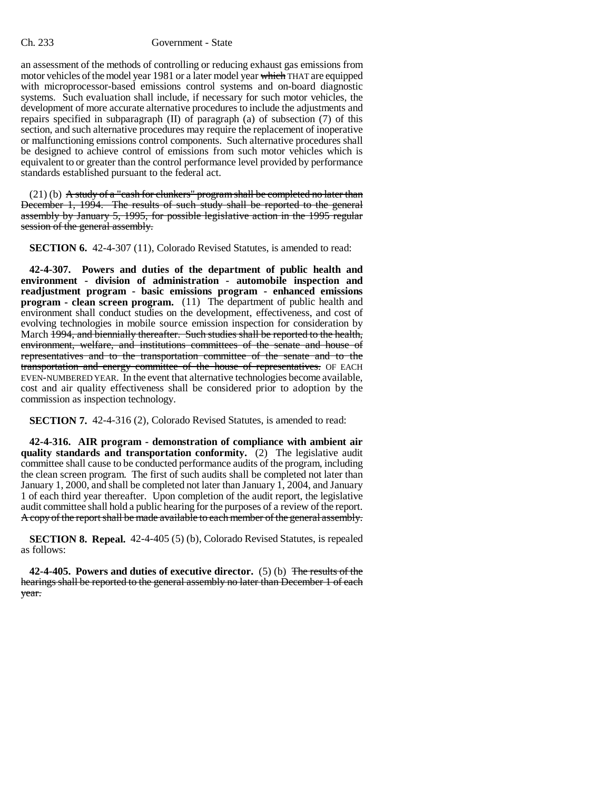## Ch. 233 Government - State

an assessment of the methods of controlling or reducing exhaust gas emissions from motor vehicles of the model year 1981 or a later model year which THAT are equipped with microprocessor-based emissions control systems and on-board diagnostic systems. Such evaluation shall include, if necessary for such motor vehicles, the development of more accurate alternative procedures to include the adjustments and repairs specified in subparagraph (II) of paragraph (a) of subsection (7) of this section, and such alternative procedures may require the replacement of inoperative or malfunctioning emissions control components. Such alternative procedures shall be designed to achieve control of emissions from such motor vehicles which is equivalent to or greater than the control performance level provided by performance standards established pursuant to the federal act.

 $(21)$  (b) A study of a "cash for clunkers" program shall be completed no later than December 1, 1994. The results of such study shall be reported to the general assembly by January 5, 1995, for possible legislative action in the 1995 regular session of the general assembly.

**SECTION 6.** 42-4-307 (11), Colorado Revised Statutes, is amended to read:

**42-4-307. Powers and duties of the department of public health and environment - division of administration - automobile inspection and readjustment program - basic emissions program - enhanced emissions program - clean screen program.** (11) The department of public health and environment shall conduct studies on the development, effectiveness, and cost of evolving technologies in mobile source emission inspection for consideration by March 1994, and biennially thereafter. Such studies shall be reported to the health, environment, welfare, and institutions committees of the senate and house of representatives and to the transportation committee of the senate and to the transportation and energy committee of the house of representatives. OF EACH EVEN-NUMBERED YEAR. In the event that alternative technologies become available, cost and air quality effectiveness shall be considered prior to adoption by the commission as inspection technology.

**SECTION 7.** 42-4-316 (2), Colorado Revised Statutes, is amended to read:

**42-4-316. AIR program - demonstration of compliance with ambient air quality standards and transportation conformity.** (2) The legislative audit committee shall cause to be conducted performance audits of the program, including the clean screen program. The first of such audits shall be completed not later than January 1, 2000, and shall be completed not later than January 1, 2004, and January 1 of each third year thereafter. Upon completion of the audit report, the legislative audit committee shall hold a public hearing for the purposes of a review of the report. A copy of the report shall be made available to each member of the general assembly.

**SECTION 8. Repeal.** 42-4-405 (5) (b), Colorado Revised Statutes, is repealed as follows:

**42-4-405. Powers and duties of executive director.** (5) (b) The results of the hearings shall be reported to the general assembly no later than December 1 of each year.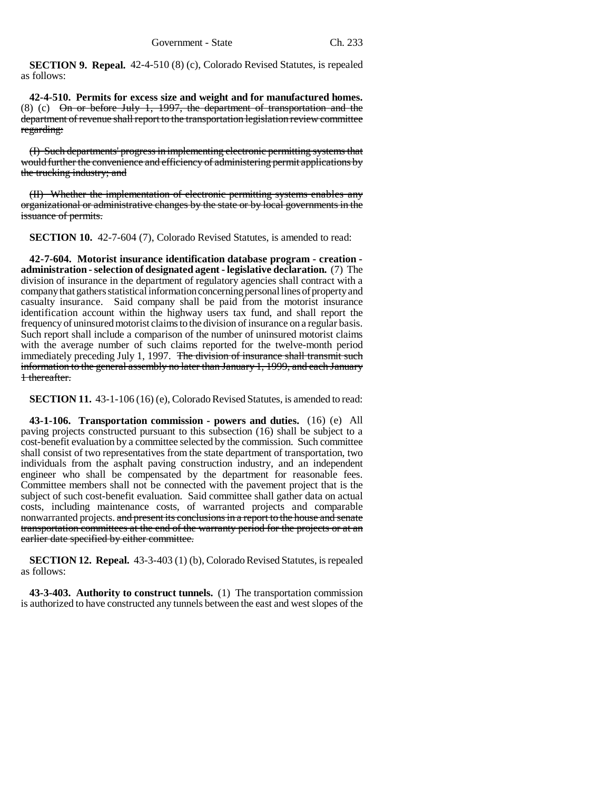**SECTION 9. Repeal.** 42-4-510 (8) (c), Colorado Revised Statutes, is repealed as follows:

**42-4-510. Permits for excess size and weight and for manufactured homes.** (8) (c) On or before July 1, 1997, the department of transportation and the department of revenue shall report to the transportation legislation review committee regarding:

(I) Such departments' progress in implementing electronic permitting systems that would further the convenience and efficiency of administering permit applications by the trucking industry; and

(II) Whether the implementation of electronic permitting systems enables any organizational or administrative changes by the state or by local governments in the issuance of permits.

**SECTION 10.** 42-7-604 (7), Colorado Revised Statutes, is amended to read:

**42-7-604. Motorist insurance identification database program - creation administration - selection of designated agent - legislative declaration.** (7) The division of insurance in the department of regulatory agencies shall contract with a company that gathers statistical information concerning personal lines of property and casualty insurance. Said company shall be paid from the motorist insurance identification account within the highway users tax fund, and shall report the frequency of uninsured motorist claims to the division of insurance on a regular basis. Such report shall include a comparison of the number of uninsured motorist claims with the average number of such claims reported for the twelve-month period immediately preceding July 1, 1997. The division of insurance shall transmit such information to the general assembly no later than January 1, 1999, and each January 1 thereafter.

**SECTION 11.** 43-1-106 (16) (e), Colorado Revised Statutes, is amended to read:

**43-1-106. Transportation commission - powers and duties.** (16) (e) All paving projects constructed pursuant to this subsection (16) shall be subject to a cost-benefit evaluation by a committee selected by the commission. Such committee shall consist of two representatives from the state department of transportation, two individuals from the asphalt paving construction industry, and an independent engineer who shall be compensated by the department for reasonable fees. Committee members shall not be connected with the pavement project that is the subject of such cost-benefit evaluation. Said committee shall gather data on actual costs, including maintenance costs, of warranted projects and comparable nonwarranted projects. and present its conclusions in a report to the house and senate transportation committees at the end of the warranty period for the projects or at an earlier date specified by either committee.

**SECTION 12. Repeal.** 43-3-403 (1) (b), Colorado Revised Statutes, is repealed as follows:

**43-3-403. Authority to construct tunnels.** (1) The transportation commission is authorized to have constructed any tunnels between the east and west slopes of the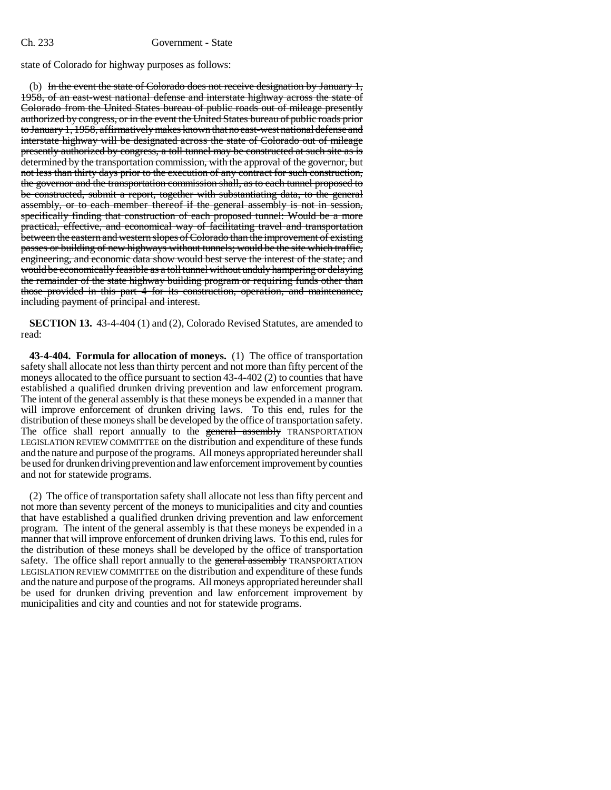state of Colorado for highway purposes as follows:

(b) In the event the state of Colorado does not receive designation by January 1, 1958, of an east-west national defense and interstate highway across the state of Colorado from the United States bureau of public roads out of mileage presently authorized by congress, or in the event the United States bureau of public roads prior to January 1, 1958, affirmatively makes known that no east-west national defense and interstate highway will be designated across the state of Colorado out of mileage presently authorized by congress, a toll tunnel may be constructed at such site as is determined by the transportation commission, with the approval of the governor, but not less than thirty days prior to the execution of any contract for such construction, the governor and the transportation commission shall, as to each tunnel proposed to be constructed, submit a report, together with substantiating data, to the general assembly, or to each member thereof if the general assembly is not in session, specifically finding that construction of each proposed tunnel: Would be a more practical, effective, and economical way of facilitating travel and transportation between the eastern and western slopes of Colorado than the improvement of existing passes or building of new highways without tunnels; would be the site which traffic, engineering, and economic data show would best serve the interest of the state; and would be economically feasible as a toll tunnel without unduly hampering or delaying the remainder of the state highway building program or requiring funds other than those provided in this part 4 for its construction, operation, and maintenance, including payment of principal and interest.

**SECTION 13.** 43-4-404 (1) and (2), Colorado Revised Statutes, are amended to read:

**43-4-404. Formula for allocation of moneys.** (1) The office of transportation safety shall allocate not less than thirty percent and not more than fifty percent of the moneys allocated to the office pursuant to section 43-4-402 (2) to counties that have established a qualified drunken driving prevention and law enforcement program. The intent of the general assembly is that these moneys be expended in a manner that will improve enforcement of drunken driving laws. To this end, rules for the distribution of these moneys shall be developed by the office of transportation safety. The office shall report annually to the general assembly TRANSPORTATION LEGISLATION REVIEW COMMITTEE on the distribution and expenditure of these funds and the nature and purpose of the programs. All moneys appropriated hereunder shall be used for drunken driving prevention and law enforcement improvement by counties and not for statewide programs.

(2) The office of transportation safety shall allocate not less than fifty percent and not more than seventy percent of the moneys to municipalities and city and counties that have established a qualified drunken driving prevention and law enforcement program. The intent of the general assembly is that these moneys be expended in a manner that will improve enforcement of drunken driving laws. To this end, rules for the distribution of these moneys shall be developed by the office of transportation safety. The office shall report annually to the general assembly TRANSPORTATION LEGISLATION REVIEW COMMITTEE on the distribution and expenditure of these funds and the nature and purpose of the programs. All moneys appropriated hereunder shall be used for drunken driving prevention and law enforcement improvement by municipalities and city and counties and not for statewide programs.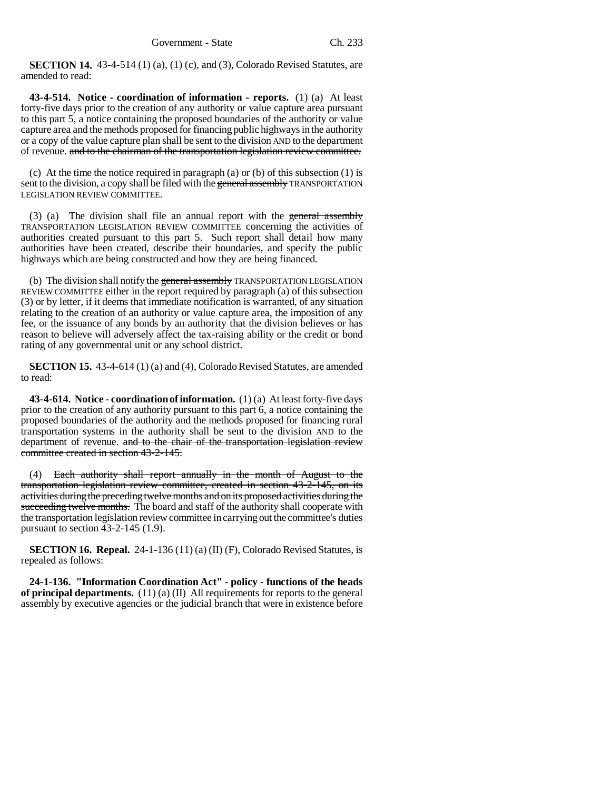**SECTION 14.** 43-4-514 (1) (a), (1) (c), and (3), Colorado Revised Statutes, are amended to read:

**43-4-514. Notice - coordination of information - reports.** (1) (a) At least forty-five days prior to the creation of any authority or value capture area pursuant to this part 5, a notice containing the proposed boundaries of the authority or value capture area and the methods proposed for financing public highways in the authority or a copy of the value capture plan shall be sent to the division AND to the department of revenue. and to the chairman of the transportation legislation review committee.

(c) At the time the notice required in paragraph (a) or (b) of this subsection  $(1)$  is sent to the division, a copy shall be filed with the general assembly TRANSPORTATION LEGISLATION REVIEW COMMITTEE.

(3) (a) The division shall file an annual report with the general assembly TRANSPORTATION LEGISLATION REVIEW COMMITTEE concerning the activities of authorities created pursuant to this part 5. Such report shall detail how many authorities have been created, describe their boundaries, and specify the public highways which are being constructed and how they are being financed.

(b) The division shall notify the general assembly TRANSPORTATION LEGISLATION REVIEW COMMITTEE either in the report required by paragraph (a) of this subsection (3) or by letter, if it deems that immediate notification is warranted, of any situation relating to the creation of an authority or value capture area, the imposition of any fee, or the issuance of any bonds by an authority that the division believes or has reason to believe will adversely affect the tax-raising ability or the credit or bond rating of any governmental unit or any school district.

**SECTION 15.** 43-4-614 (1) (a) and (4), Colorado Revised Statutes, are amended to read:

**43-4-614. Notice - coordination of information.** (1) (a) At least forty-five days prior to the creation of any authority pursuant to this part 6, a notice containing the proposed boundaries of the authority and the methods proposed for financing rural transportation systems in the authority shall be sent to the division AND to the department of revenue. and to the chair of the transportation legislation review committee created in section 43-2-145.

(4) Each authority shall report annually in the month of August to the transportation legislation review committee, created in section 43-2-145, on its activities during the preceding twelve months and on its proposed activities during the succeeding twelve months. The board and staff of the authority shall cooperate with the transportation legislation review committee in carrying out the committee's duties pursuant to section 43-2-145 (1.9).

**SECTION 16. Repeal.**  $24-1-136(11)(a)$  (II) (F), Colorado Revised Statutes, is repealed as follows:

**24-1-136. "Information Coordination Act" - policy - functions of the heads of principal departments.** (11) (a) (II) All requirements for reports to the general assembly by executive agencies or the judicial branch that were in existence before